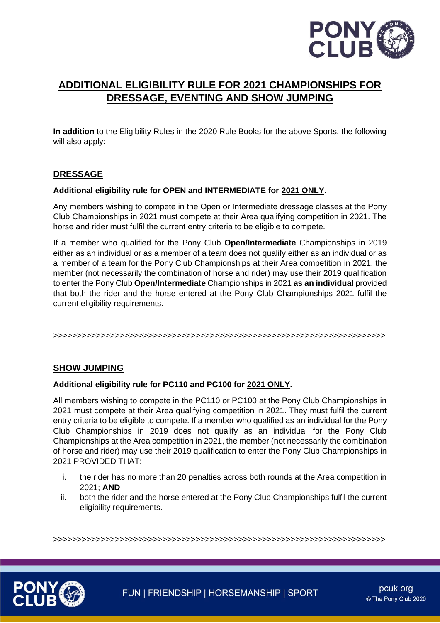

# **ADDITIONAL ELIGIBILITY RULE FOR 2021 CHAMPIONSHIPS FOR DRESSAGE, EVENTING AND SHOW JUMPING**

**In addition** to the Eligibility Rules in the 2020 Rule Books for the above Sports, the following will also apply:

## **DRESSAGE**

### **Additional eligibility rule for OPEN and INTERMEDIATE for 2021 ONLY.**

Any members wishing to compete in the Open or Intermediate dressage classes at the Pony Club Championships in 2021 must compete at their Area qualifying competition in 2021. The horse and rider must fulfil the current entry criteria to be eligible to compete.

If a member who qualified for the Pony Club **Open/Intermediate** Championships in 2019 either as an individual or as a member of a team does not qualify either as an individual or as a member of a team for the Pony Club Championships at their Area competition in 2021, the member (not necessarily the combination of horse and rider) may use their 2019 qualification to enter the Pony Club **Open/Intermediate** Championships in 2021 **as an individual** provided that both the rider and the horse entered at the Pony Club Championships 2021 fulfil the current eligibility requirements.

>>>>>>>>>>>>>>>>>>>>>>>>>>>>>>>>>>>>>>>>>>>>>>>>>>>>>>>>>>>>>>>>>>>>>>

## **SHOW JUMPING**

#### **Additional eligibility rule for PC110 and PC100 for 2021 ONLY.**

All members wishing to compete in the PC110 or PC100 at the Pony Club Championships in 2021 must compete at their Area qualifying competition in 2021. They must fulfil the current entry criteria to be eligible to compete. If a member who qualified as an individual for the Pony Club Championships in 2019 does not qualify as an individual for the Pony Club Championships at the Area competition in 2021, the member (not necessarily the combination of horse and rider) may use their 2019 qualification to enter the Pony Club Championships in 2021 PROVIDED THAT:

- i. the rider has no more than 20 penalties across both rounds at the Area competition in 2021; **AND**
- ii. both the rider and the horse entered at the Pony Club Championships fulfil the current eligibility requirements.

>>>>>>>>>>>>>>>>>>>>>>>>>>>>>>>>>>>>>>>>>>>>>>>>>>>>>>>>>>>>>>>>>>>>>>



FUN | FRIENDSHIP | HORSEMANSHIP | SPORT